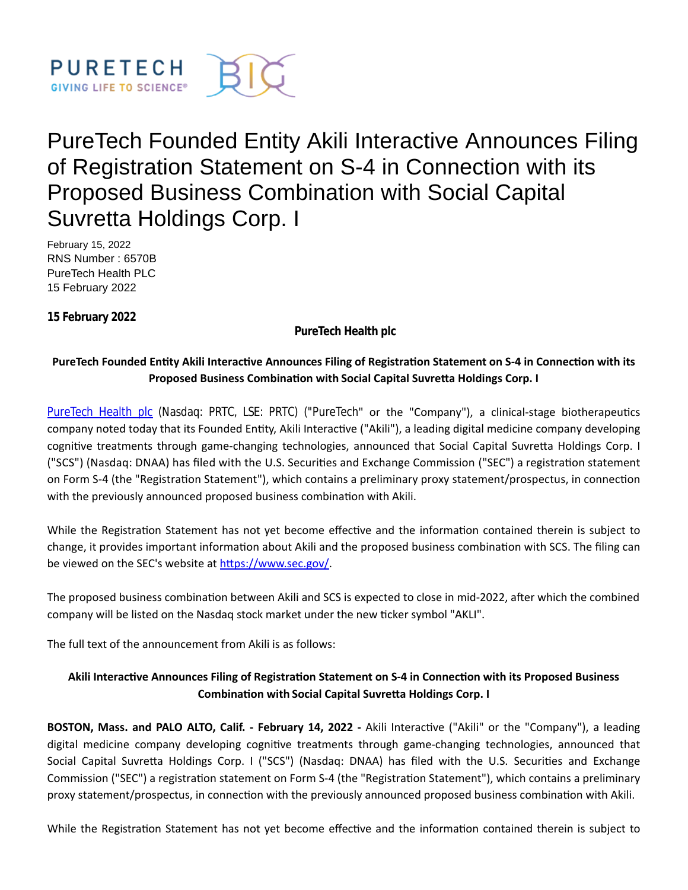

# PureTech Founded Entity Akili Interactive Announces Filing of Registration Statement on S-4 in Connection with its Proposed Business Combination with Social Capital Suvretta Holdings Corp. I

February 15, 2022 RNS Number : 6570B PureTech Health PLC 15 February 2022

**15 February 2022**

**PureTech Health plc**

# **PureTech Founded Entity Akili Interactive Announces Filing of Registration Statement on S-4 in Connection with its Proposed Business Combination with Social Capital Suvretta Holdings Corp. I**

[PureTech Health plc](https://puretechhealth.com/) (Nasdaq: PRTC, LSE: PRTC) ("PureTech" or the "Company"), a clinical-stage biotherapeutics company noted today that its Founded Entity, Akili Interactive ("Akili"), a leading digital medicine company developing cognitive treatments through game-changing technologies, announced that Social Capital Suvretta Holdings Corp. I ("SCS") (Nasdaq: DNAA) has filed with the U.S. Securities and Exchange Commission ("SEC") a registration statement on Form S-4 (the "Registration Statement"), which contains a preliminary proxy statement/prospectus, in connection with the previously announced proposed business combination with Akili.

While the Registration Statement has not yet become effective and the information contained therein is subject to change, it provides important information about Akili and the proposed business combination with SCS. The filing can be viewed on the SEC's website at https://www.sec.gov/.

The proposed business combination between Akili and SCS is expected to close in mid-2022, after which the combined company will be listed on the Nasdaq stock market under the new ticker symbol "AKLI".

The full text of the announcement from Akili is as follows:

# Akili Interactive Announces Filing of Registration Statement on S-4 in Connection with its Proposed Business **CombinaƟon with Social Capital SuvreƩa Holdings Corp. I**

**BOSTON, Mass. and PALO ALTO, Calif. - February 14, 2022** - Akili Interactive ("Akili" or the "Company"), a leading digital medicine company developing cognitive treatments through game-changing technologies, announced that Social Capital Suvretta Holdings Corp. I ("SCS") (Nasdaq: DNAA) has filed with the U.S. Securities and Exchange Commission ("SEC") a registration statement on Form S-4 (the "Registration Statement"), which contains a preliminary proxy statement/prospectus, in connection with the previously announced proposed business combination with Akili.

While the Registration Statement has not yet become effective and the information contained therein is subject to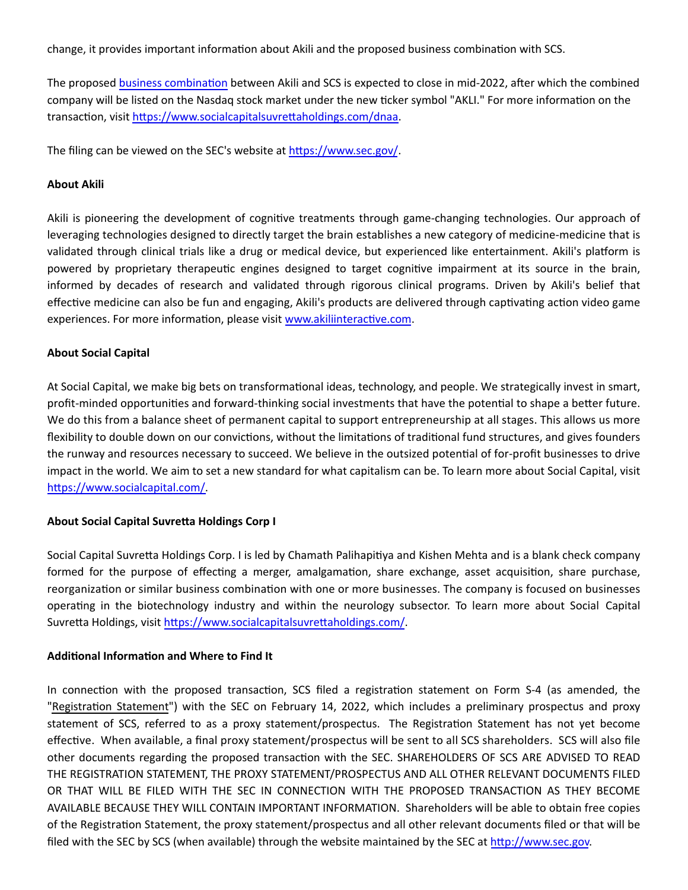change, it provides important information about Akili and the proposed business combination with SCS.

The proposed business combination between Akili and SCS is expected to close in mid-2022, after which the combined company will be listed on the Nasdaq stock market under the new ticker symbol "AKLI." For more information on the transaction, visit https://www.socialcapitalsuvrettaholdings.com/dnaa.

The filing can be viewed on the SEC's website at https://www.sec.gov/.

#### **About Akili**

Akili is pioneering the development of cognitive treatments through game-changing technologies. Our approach of leveraging technologies designed to directly target the brain establishes a new category of medicine-medicine that is validated through clinical trials like a drug or medical device, but experienced like entertainment. Akili's platform is powered by proprietary therapeutic engines designed to target cognitive impairment at its source in the brain, informed by decades of research and validated through rigorous clinical programs. Driven by Akili's belief that effective medicine can also be fun and engaging, Akili's products are delivered through captivating action video game experiences. For more information, please visit www.akiliinteractive.com.

# **About Social Capital**

At Social Capital, we make big bets on transformational ideas, technology, and people. We strategically invest in smart, profit-minded opportunities and forward-thinking social investments that have the potential to shape a better future. We do this from a balance sheet of permanent capital to support entrepreneurship at all stages. This allows us more flexibility to double down on our convictions, without the limitations of traditional fund structures, and gives founders the runway and resources necessary to succeed. We believe in the outsized potential of for-profit businesses to drive impact in the world. We aim to set a new standard for what capitalism can be. To learn more about Social Capital, visit https://www.socialcapital.com/.

# **About Social Capital SuvreƩa Holdings Corp I**

Social Capital Suvretta Holdings Corp. I is led by Chamath Palihapitiya and Kishen Mehta and is a blank check company formed for the purpose of effecting a merger, amalgamation, share exchange, asset acquisition, share purchase, reorganization or similar business combination with one or more businesses. The company is focused on businesses operating in the biotechnology industry and within the neurology subsector. To learn more about Social Capital Suvretta Holdings, visit https://www.socialcapitalsuvrettaholdings.com/.

#### **AddiƟonal InformaƟon and Where to Find It**

In connection with the proposed transaction, SCS filed a registration statement on Form S-4 (as amended, the "Registration Statement") with the SEC on February 14, 2022, which includes a preliminary prospectus and proxy statement of SCS, referred to as a proxy statement/prospectus. The Registration Statement has not yet become effective. When available, a final proxy statement/prospectus will be sent to all SCS shareholders. SCS will also file other documents regarding the proposed transaction with the SEC. SHAREHOLDERS OF SCS ARE ADVISED TO READ THE REGISTRATION STATEMENT, THE PROXY STATEMENT/PROSPECTUS AND ALL OTHER RELEVANT DOCUMENTS FILED OR THAT WILL BE FILED WITH THE SEC IN CONNECTION WITH THE PROPOSED TRANSACTION AS THEY BECOME AVAILABLE BECAUSE THEY WILL CONTAIN IMPORTANT INFORMATION. Shareholders will be able to obtain free copies of the RegistraƟon Statement, the proxy statement/prospectus and all other relevant documents filed or that will be filed with the SEC by SCS (when available) through the website maintained by the SEC at http://www.sec.gov.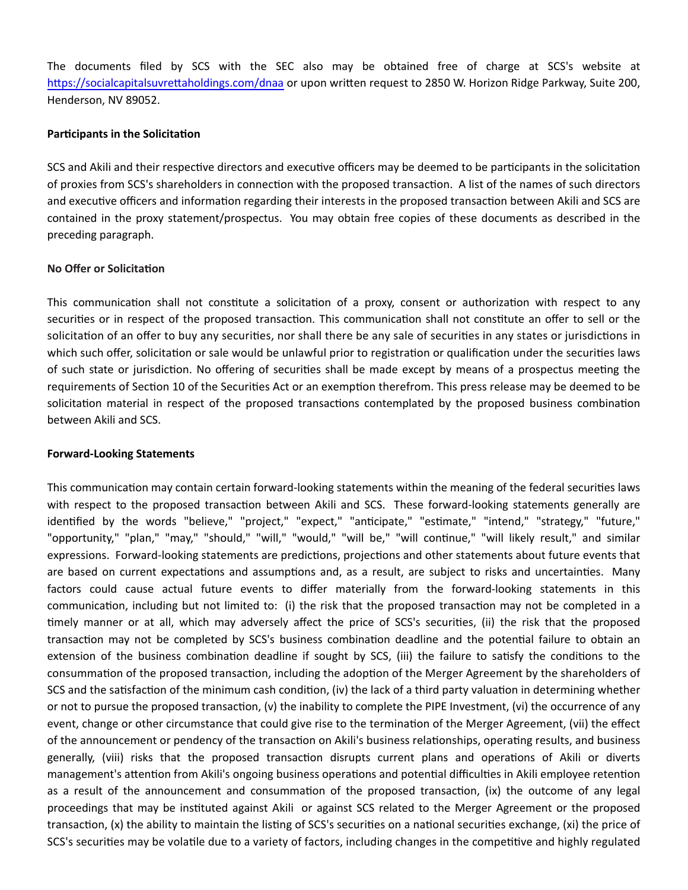The documents filed by SCS with the SEC also may be obtained free of charge at SCS's website at https://socialcapitalsuvrettaholdings.com/dnaa or upon written request to 2850 W. Horizon Ridge Parkway, Suite 200, Henderson, NV 89052.

# **Participants in the Solicitation**

SCS and Akili and their respective directors and executive officers may be deemed to be participants in the solicitation of proxies from SCS's shareholders in connection with the proposed transaction. A list of the names of such directors and executive officers and information regarding their interests in the proposed transaction between Akili and SCS are contained in the proxy statement/prospectus. You may obtain free copies of these documents as described in the preceding paragraph.

# **No Offer or Solicitation**

This communication shall not constitute a solicitation of a proxy, consent or authorization with respect to any securities or in respect of the proposed transaction. This communication shall not constitute an offer to sell or the solicitation of an offer to buy any securities, nor shall there be any sale of securities in any states or jurisdictions in which such offer, solicitation or sale would be unlawful prior to registration or qualification under the securities laws of such state or jurisdiction. No offering of securities shall be made except by means of a prospectus meeting the requirements of Section 10 of the Securities Act or an exemption therefrom. This press release may be deemed to be solicitation material in respect of the proposed transactions contemplated by the proposed business combination between Akili and SCS.

# **Forward-Looking Statements**

This communication may contain certain forward-looking statements within the meaning of the federal securities laws with respect to the proposed transaction between Akili and SCS. These forward-looking statements generally are identified by the words "believe," "project," "expect," "anticipate," "estimate," "intend," "strategy," "future," "opportunity," "plan," "may," "should," "will," "would," "will be," "will continue," "will likely result," and similar expressions. Forward-looking statements are predictions, projections and other statements about future events that are based on current expectations and assumptions and, as a result, are subject to risks and uncertainties. Many factors could cause actual future events to differ materially from the forward-looking statements in this communication, including but not limited to: (i) the risk that the proposed transaction may not be completed in a timely manner or at all, which may adversely affect the price of SCS's securities, (ii) the risk that the proposed transaction may not be completed by SCS's business combination deadline and the potential failure to obtain an extension of the business combination deadline if sought by SCS, (iii) the failure to satisfy the conditions to the consummation of the proposed transaction, including the adoption of the Merger Agreement by the shareholders of SCS and the satisfaction of the minimum cash condition, (iv) the lack of a third party valuation in determining whether or not to pursue the proposed transaction, (v) the inability to complete the PIPE Investment, (vi) the occurrence of any event, change or other circumstance that could give rise to the termination of the Merger Agreement, (vii) the effect of the announcement or pendency of the transaction on Akili's business relationships, operating results, and business generally, (viii) risks that the proposed transaction disrupts current plans and operations of Akili or diverts management's attention from Akili's ongoing business operations and potential difficulties in Akili employee retention as a result of the announcement and consummation of the proposed transaction, (ix) the outcome of any legal proceedings that may be instituted against Akili or against SCS related to the Merger Agreement or the proposed transaction, (x) the ability to maintain the listing of SCS's securities on a national securities exchange, (xi) the price of SCS's securities may be volatile due to a variety of factors, including changes in the competitive and highly regulated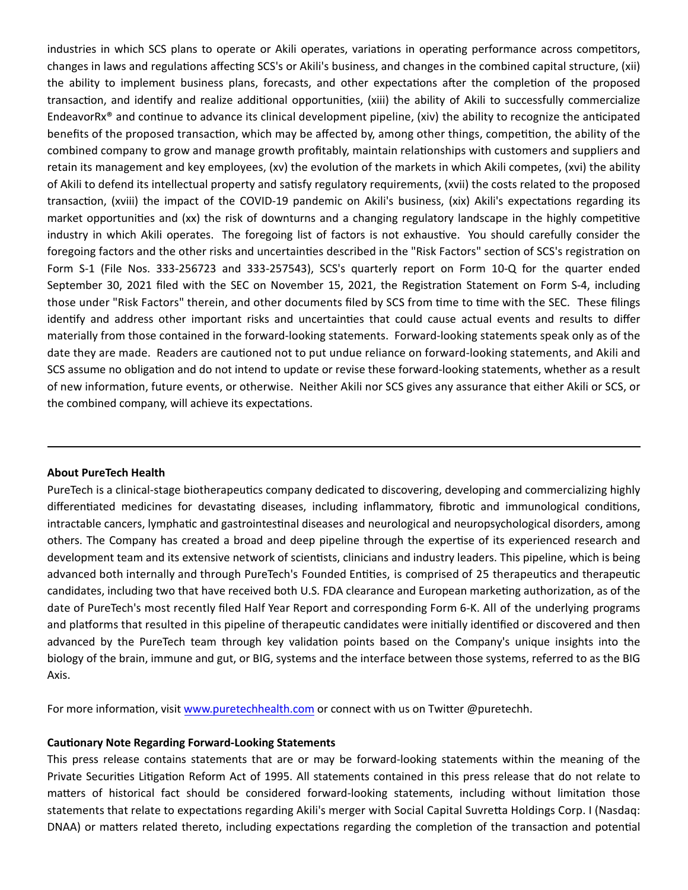industries in which SCS plans to operate or Akili operates, variations in operating performance across competitors, changes in laws and regulations affecting SCS's or Akili's business, and changes in the combined capital structure, (xii) the ability to implement business plans, forecasts, and other expectations after the completion of the proposed transaction, and identify and realize additional opportunities, (xiii) the ability of Akili to successfully commercialize EndeavorRx® and continue to advance its clinical development pipeline, (xiv) the ability to recognize the anticipated benefits of the proposed transaction, which may be affected by, among other things, competition, the ability of the combined company to grow and manage growth profitably, maintain relationships with customers and suppliers and retain its management and key employees, (xv) the evolution of the markets in which Akili competes, (xvi) the ability of Akili to defend its intellectual property and satisfy regulatory requirements, (xvii) the costs related to the proposed transaction, (xviii) the impact of the COVID-19 pandemic on Akili's business, (xix) Akili's expectations regarding its market opportunities and (xx) the risk of downturns and a changing regulatory landscape in the highly competitive industry in which Akili operates. The foregoing list of factors is not exhaustive. You should carefully consider the foregoing factors and the other risks and uncertainties described in the "Risk Factors" section of SCS's registration on Form S-1 (File Nos. 333-256723 and 333-257543), SCS's quarterly report on Form 10-Q for the quarter ended September 30, 2021 filed with the SEC on November 15, 2021, the Registration Statement on Form S-4, including those under "Risk Factors" therein, and other documents filed by SCS from time to time with the SEC. These filings identify and address other important risks and uncertainties that could cause actual events and results to differ materially from those contained in the forward-looking statements. Forward-looking statements speak only as of the date they are made. Readers are cautioned not to put undue reliance on forward-looking statements, and Akili and SCS assume no obligation and do not intend to update or revise these forward-looking statements, whether as a result of new information, future events, or otherwise. Neither Akili nor SCS gives any assurance that either Akili or SCS, or the combined company, will achieve its expectations.

#### **About PureTech Health**

PureTech is a clinical-stage biotherapeutics company dedicated to discovering, developing and commercializing highly differentiated medicines for devastating diseases, including inflammatory, fibrotic and immunological conditions, intractable cancers, lymphatic and gastrointestinal diseases and neurological and neuropsychological disorders, among others. The Company has created a broad and deep pipeline through the expertise of its experienced research and development team and its extensive network of scientists, clinicians and industry leaders. This pipeline, which is being advanced both internally and through PureTech's Founded Entities, is comprised of 25 therapeutics and therapeutic candidates, including two that have received both U.S. FDA clearance and European marketing authorization, as of the date of PureTech's most recently filed Half Year Report and corresponding Form 6-K. All of the underlying programs and platforms that resulted in this pipeline of therapeutic candidates were initially identified or discovered and then advanced by the PureTech team through key validation points based on the Company's unique insights into the biology of the brain, immune and gut, or BIG, systems and the interface between those systems, referred to as the BIG Axis.

For more information, visit [www.puretechhealth.com o](http://www.puretechhealth.com/)r connect with us on Twitter @puretechh.

#### **CauƟonary Note Regarding Forward-Looking Statements**

This press release contains statements that are or may be forward-looking statements within the meaning of the Private Securities Litigation Reform Act of 1995. All statements contained in this press release that do not relate to matters of historical fact should be considered forward-looking statements, including without limitation those statements that relate to expectations regarding Akili's merger with Social Capital Suvretta Holdings Corp. I (Nasdaq: DNAA) or matters related thereto, including expectations regarding the completion of the transaction and potential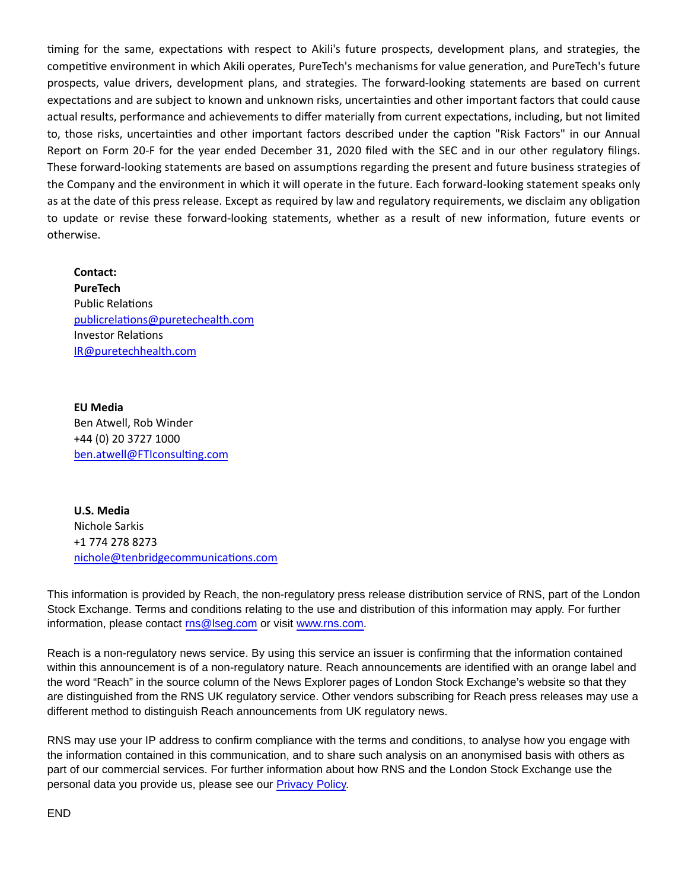timing for the same, expectations with respect to Akili's future prospects, development plans, and strategies, the competitive environment in which Akili operates, PureTech's mechanisms for value generation, and PureTech's future prospects, value drivers, development plans, and strategies. The forward-looking statements are based on current expectations and are subject to known and unknown risks, uncertainties and other important factors that could cause actual results, performance and achievements to differ materially from current expectations, including, but not limited to, those risks, uncertainties and other important factors described under the caption "Risk Factors" in our Annual Report on Form 20-F for the year ended December 31, 2020 filed with the SEC and in our other regulatory filings. These forward-looking statements are based on assumptions regarding the present and future business strategies of the Company and the environment in which it will operate in the future. Each forward-looking statement speaks only as at the date of this press release. Except as required by law and regulatory requirements, we disclaim any obligation to update or revise these forward-looking statements, whether as a result of new information, future events or otherwise.

**Contact: PureTech** Public Relations [publicrelaƟons@puretechealth.com](mailto:publicrelations@puretechealth.com) Investor RelaƟons [IR@puretechhealth.com](mailto:IR@puretechhealth.com)

**EU Media** Ben Atwell, Rob Winder +44 (0) 20 3727 1000 ben.atwell@FTIconsulting.com

**U.S. Media** Nichole Sarkis +1 774 278 8273 nichole@tenbridgecommunications.com

This information is provided by Reach, the non-regulatory press release distribution service of RNS, part of the London Stock Exchange. Terms and conditions relating to the use and distribution of this information may apply. For further information, please contact [rns@lseg.com o](mailto:rns@lseg.com)r visit [www.rns.com.](http://www.rns.com/)

Reach is a non-regulatory news service. By using this service an issuer is confirming that the information contained within this announcement is of a non-regulatory nature. Reach announcements are identified with an orange label and the word "Reach" in the source column of the News Explorer pages of London Stock Exchange's website so that they are distinguished from the RNS UK regulatory service. Other vendors subscribing for Reach press releases may use a different method to distinguish Reach announcements from UK regulatory news.

RNS may use your IP address to confirm compliance with the terms and conditions, to analyse how you engage with the information contained in this communication, and to share such analysis on an anonymised basis with others as part of our commercial services. For further information about how RNS and the London Stock Exchange use the personal data you provide us, please see our [Privacy Policy.](https://www.lseg.com/privacy-and-cookie-policy)